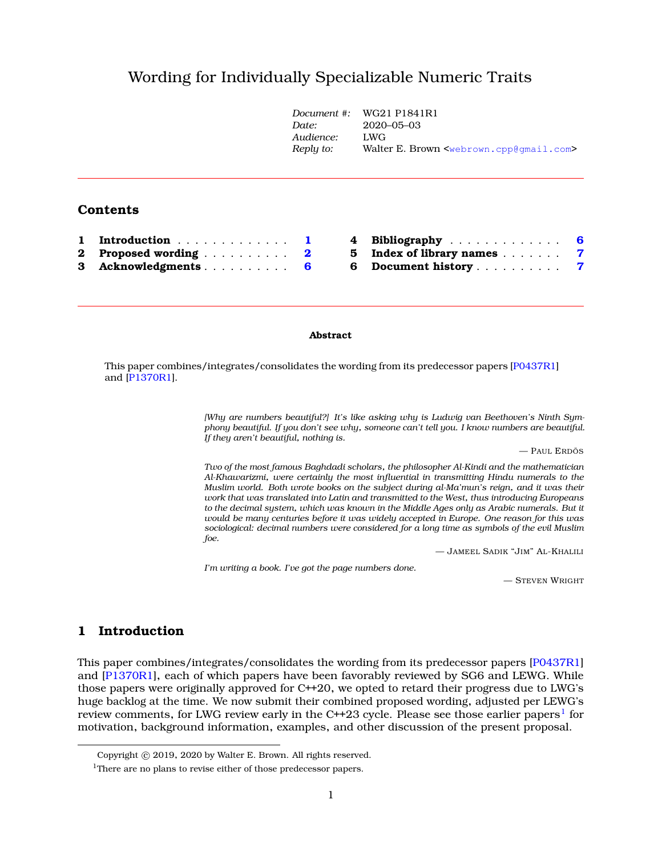# Wording for Individually Specializable Numeric Trait[s](#page-0-0)

|          |                  | Document #:<br>Date:   | WG21 P1841R1<br>2020-05-03<br>LWG<br>Walter E. Brown <webrown.cpp@qmail.com></webrown.cpp@qmail.com> |   |
|----------|------------------|------------------------|------------------------------------------------------------------------------------------------------|---|
|          |                  | Audience:<br>Reply to: |                                                                                                      |   |
|          | Contents         |                        |                                                                                                      |   |
|          | Introduction     | 4                      | Bibliography<br>- 6                                                                                  |   |
| $\bf{2}$ | Proposed wording | 5<br>$\mathbf{2}$      | Index of library names                                                                               | 7 |
| 3        | Acknowledgments  | 6<br>6                 | Document history                                                                                     | 7 |

### **Abstract**

This paper combines/integrates/consolidates the wording from its predecessor papers [\[P0437R1\]](#page-5-2) and [\[P1370R1\]](#page-5-3).

> *[Why are numbers beautiful?] It's like asking why is Ludwig van Beethoven's Ninth Symphony beautiful. If you don't see why, someone can't tell you. I know numbers are beautiful. If they aren't beautiful, nothing is.*

> > — PAUL ERDÖS

*Two of the most famous Baghdadi scholars, the philosopher Al-Kindi and the mathematician Al-Khawarizmi, were certainly the most influential in transmitting Hindu numerals to the Muslim world. Both wrote books on the subject during al-Ma'mun's reign, and it was their work that was translated into Latin and transmitted to the West, thus introducing Europeans to the decimal system, which was known in the Middle Ages only as Arabic numerals. But it would be many centuries before it was widely accepted in Europe. One reason for this was sociological: decimal numbers were considered for a long time as symbols of the evil Muslim foe.*

— JAMEEL SADIK "JIM" AL-KHALILI

*I'm writing a book. I've got the page numbers done.*

— STEVEN WRIGHT

# <span id="page-0-1"></span>**1 Introduction**

This paper combines/integrates/consolidates the wording from its predecessor papers [\[P0437R1\]](#page-5-2) and [\[P1370R1\]](#page-5-3), each of which papers have been favorably reviewed by SG6 and LEWG. While those papers were originally approved for C++20, we opted to retard their progress due to LWG's huge backlog at the time. We now submit their combined proposed wording, adjusted per LEWG's review comments, for LWG review early in the C++23 cycle. Please see those earlier papers $^{\rm l}$  for motivation, background information, examples, and other discussion of the present proposal.

<span id="page-0-0"></span>Copyright © 2019, 2020 by Walter E. Brown. All rights reserved.

<span id="page-0-2"></span><sup>&</sup>lt;sup>1</sup>There are no plans to revise either of those predecessor papers.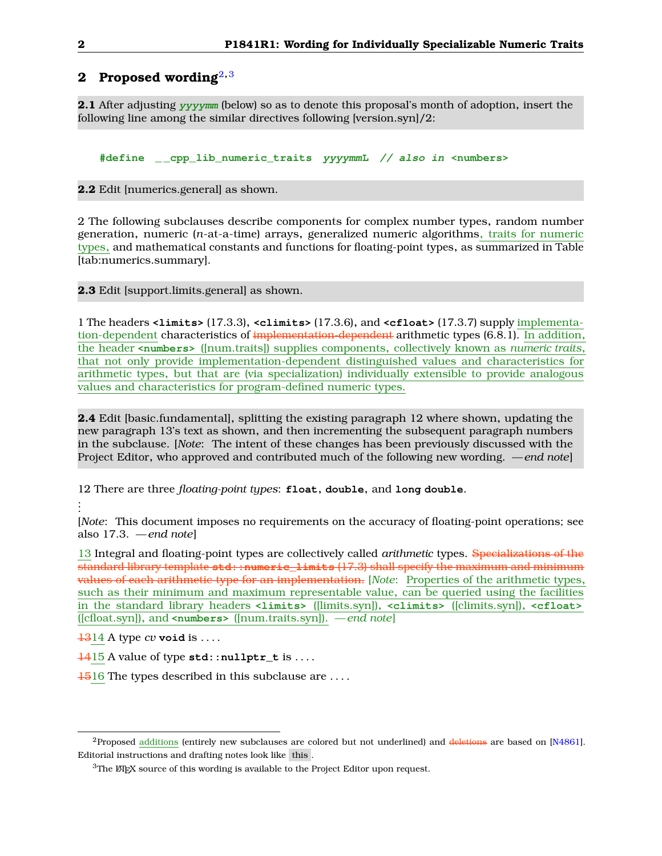# <span id="page-1-0"></span>**2 Proposed wording**[2](#page-1-1)**,**[3](#page-1-2)

**2.1** After adjusting **yyyymm** (below) so as to denote this proposal's month of adoption, insert the following line among the similar directives following [version.syn]/2:

**#define \_ \_cpp\_lib\_numeric\_traits yyyymmL // also in <numbers>**

**2.2** Edit [numerics.general] as shown.

2 The following subclauses describe components for complex number types, random number generation, numeric (*n*-at-a-time) arrays, generalized numeric algorithms, traits for numeric types, and mathematical constants and functions for floating-point types, as summarized in Table [tab:numerics.summary].

**2.3** Edit [support.limits.general] as shown.

1 The headers **<limits>** (17.3.3), **<climits>** (17.3.6), and **<cfloat>** (17.3.7) supply implementation-dependent characteristics of implementation-dependent arithmetic types (6.8.1). In addition, the header **<numbers>** ([num.traits]) supplies components, collectively known as *numeric traits*, that not only provide implementation-dependent distinguished values and characteristics for arithmetic types, but that are (via specialization) individually extensible to provide analogous values and characteristics for program-defined numeric types.

**2.4** Edit [basic.fundamental], splitting the existing paragraph 12 where shown, updating the new paragraph 13's text as shown, and then incrementing the subsequent paragraph numbers in the subclause. [*Note*: The intent of these changes has been previously discussed with the Project Editor, who approved and contributed much of the following new wording. *— end note*]

12 There are three *floating-point types*: **float**, **double**, and **long double**.

. . .

> [*Note*: This document imposes no requirements on the accuracy of floating-point operations; see also 17.3. *— end note*]

> 13 Integral and floating-point types are collectively called *arithmetic* types. Specializations of the standard library template **std::numeric\_limits** (17.3) shall specify the maximum and minimum values of each arithmetic type for an implementation. [*Note*: Properties of the arithmetic types, such as their minimum and maximum representable value, can be queried using the facilities in the standard library headers **<limits>** ([limits.syn]), **<climits>** ([climits.syn]), **<cfloat>** ([cfloat.syn]), and **<numbers>** ([num.traits.syn]). *— end note*]

 $\frac{1314}{4}$  A type *cv* **void** is ....

1415 A value of type **std::nullptr\_t** is . . . .

1516 The types described in this subclause are . . . .

<span id="page-1-1"></span><sup>&</sup>lt;sup>2</sup>Proposed additions (entirely new subclauses are colored but not underlined) and deletions are based on [\[N4861\]](#page-5-4). Editorial instructions and drafting notes look like this .

<span id="page-1-2"></span> $3$ The  $\mathbb{E}$ The  $\mathbb{E}$ The source of this wording is available to the Project Editor upon request.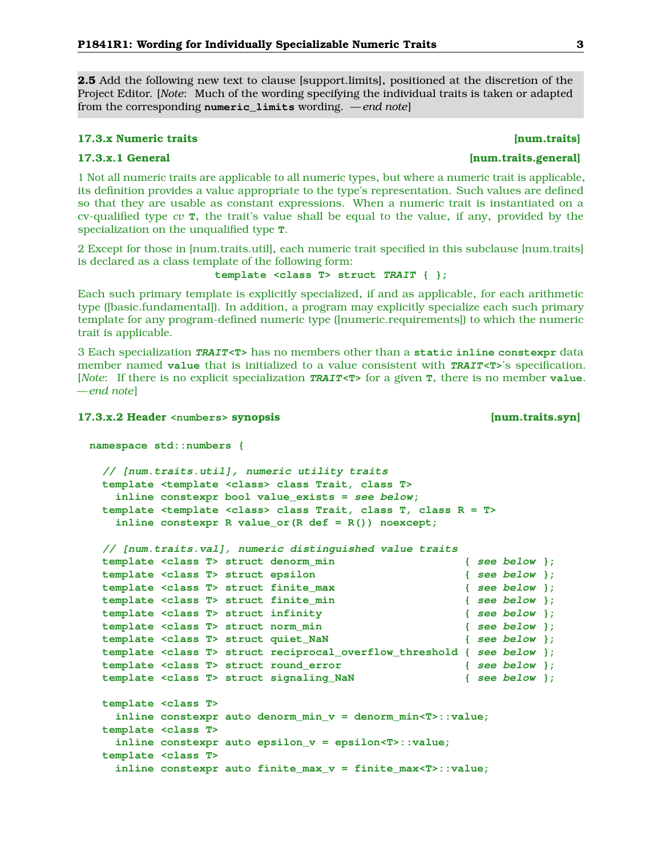<span id="page-2-0"></span>**2.5** Add the following new text to clause [support.limits], positioned at the discretion of the Project Editor. [*Note*: Much of the wording specifying the individual traits is taken or adapted from the corresponding **numeric\_limits** wording. *— end note*]

### **17.3.x Numeric traits [num.traits]**

1 Not all numeric traits are applicable to all numeric types, but where a numeric trait is applicable, its definition provides a value appropriate to the type's representation. Such values are defined so that they are usable as constant expressions. When a numeric trait is instantiated on a cv-qualified type *cv* **T**, the trait's value shall be equal to the value, if any, provided by the specialization on the unqualified type **T**.

2 Except for those in [num.traits.util], each numeric trait specified in this subclause [num.traits] is declared as a class template of the following form:

**template <class T> struct TRAIT { };**

Each such primary template is explicitly specialized, if and as applicable, for each arithmetic type ([basic.fundamental]). In addition, a program may explicitly specialize each such primary template for any program-defined numeric type ([numeric.requirements]) to which the numeric trait is applicable.

3 Each specialization **TRAIT<T>** has no members other than a **static inline constexpr** data member named **value** that is initialized to a value consistent with **TRAIT<T>**'s specification. [*Note*: If there is no explicit specialization **TRAIT<T>** for a given **T**, there is no member **value**. *— end note*]

### **17.3.x.2 Header <numbers> synopsis [num.traits.syn]**

```
namespace std::numbers {
 // [num.traits.util], numeric utility traits
 template <template <class> class Trait, class T>
   inline constexpr bool value_exists = see below;
 template <template <class> class Trait, class T, class R = T>
   inline constexpr R value_or(R def = R()) noexcept;
 // [num.traits.val], numeric distinguished value traits
 template <class T> struct denorm_min { see below };
 template <class T> struct epsilon { see below };
 template <class T> struct finite_max { see below };
 template <class T> struct finite_min { see below };
 template <class T> struct infinity { see below };
 template <class T> struct norm_min { see below };
 template <class T> struct quiet_NaN { see below };
 template <class T> struct reciprocal_overflow_threshold { see below };
 template <class T> struct round_error { see below };
 template <class T> struct signaling_NaN { see below };
 template <class T>
   inline constexpr auto denorm_min_v = denorm_min<T>::value;
 template <class T>
   inline constexpr auto epsilon_v = epsilon<T>::value;
 template <class T>
   inline constexpr auto finite_max_v = finite_max<T>::value;
```
## **17.3.x.1 General [num.traits.general]**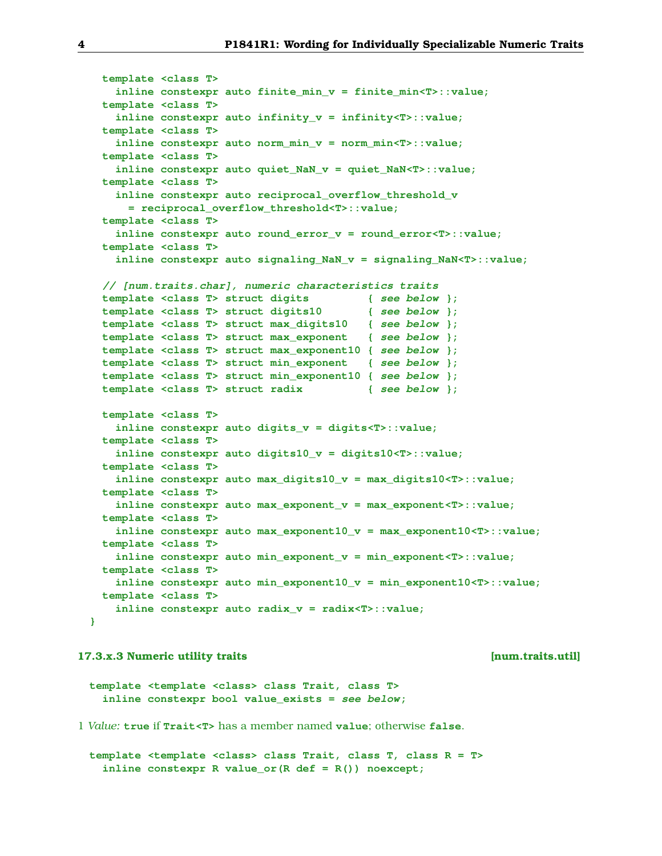```
template <class T>
   inline constexpr auto finite_min_v = finite_min<T>::value;
 template <class T>
   inline constexpr auto infinity_v = infinity<T>::value;
 template <class T>
   inline constexpr auto norm_min_v = norm_min<T>::value;
 template <class T>
   inline constexpr auto quiet_NaN_v = quiet_NaN<T>::value;
 template <class T>
   inline constexpr auto reciprocal_overflow_threshold_v
     = reciprocal_overflow_threshold<T>::value;
 template <class T>
   inline constexpr auto round_error_v = round_error<T>::value;
 template <class T>
   inline constexpr auto signaling_NaN_v = signaling_NaN<T>::value;
 // [num.traits.char], numeric characteristics traits
 template <class T> struct digits { see below };
 template <class T> struct digits10 { see below };
 template <class T> struct max_digits10 { see below };
 template <class T> struct max_exponent { see below };
 template <class T> struct max_exponent10 { see below };
 template <class T> struct min_exponent { see below };
 template <class T> struct min_exponent10 { see below };
 template <class T> struct radix { see below };
 template <class T>
   inline constexpr auto digits_v = digits<T>::value;
 template <class T>
   inline constexpr auto digits10_v = digits10<T>::value;
 template <class T>
   inline constexpr auto max_digits10_v = max_digits10<T>::value;
 template <class T>
   inline constexpr auto max_exponent_v = max_exponent<T>::value;
 template <class T>
   inline constexpr auto max_exponent10_v = max_exponent10<T>::value;
 template <class T>
   inline constexpr auto min_exponent_v = min_exponent<T>::value;
 template <class T>
   inline constexpr auto min_exponent10_v = min_exponent10<T>::value;
 template <class T>
   inline constexpr auto radix_v = radix<T>::value;
}
```
## **17.3.x.3 Numeric utility traits [num.traits.util]**

```
template <template <class> class Trait, class T>
  inline constexpr bool value_exists = see below;
```
1 *Value:* **true** if **Trait<T>** has a member named **value**; otherwise **false**.

**template <template <class> class Trait, class T, class R = T> inline constexpr R value\_or(R def = R()) noexcept;**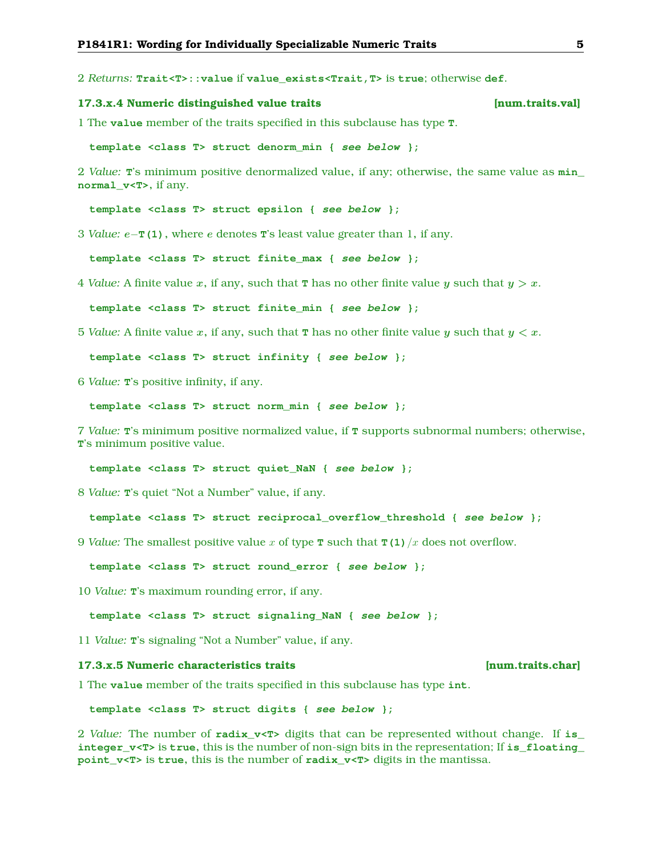<span id="page-4-0"></span>2 *Returns:* **Trait<T>::value** if **value\_exists<Trait,T>** is **true**; otherwise **def**.

### **17.3.x.4 Numeric distinguished value traits [num.traits.val]**

1 The **value** member of the traits specified in this subclause has type **T**.

**template <class T> struct denorm\_min { see below };**

2 *Value:* **T**'s minimum positive denormalized value, if any; otherwise, the same value as **min\_ normal\_v<T>**, if any.

**template <class T> struct epsilon { see below };**

3 *Value:* e−**T(1)**, where e denotes **T**'s least value greater than 1, if any.

**template <class T> struct finite\_max { see below };**

4 *Value:* A finite value x, if any, such that **T** has no other finite value y such that  $y > x$ .

**template <class T> struct finite\_min { see below };**

5 *Value:* A finite value x, if any, such that **T** has no other finite value y such that  $y < x$ .

**template <class T> struct infinity { see below };**

6 *Value:* **T**'s positive infinity, if any.

```
template <class T> struct norm_min { see below };
```
7 *Value:* **T**'s minimum positive normalized value, if **T** supports subnormal numbers; otherwise, **T**'s minimum positive value.

**template <class T> struct quiet\_NaN { see below };**

8 *Value:* **T**'s quiet "Not a Number" value, if any.

**template <class T> struct reciprocal\_overflow\_threshold { see below };**

9 *Value:* The smallest positive value x of type **T** such that **T(1)**/x does not overflow.

**template <class T> struct round\_error { see below };**

10 *Value:* **T**'s maximum rounding error, if any.

**template <class T> struct signaling\_NaN { see below };**

11 *Value:* **T**'s signaling "Not a Number" value, if any.

### **17.3.x.5 Numeric characteristics traits [num.traits.char]**

1 The **value** member of the traits specified in this subclause has type **int**.

**template <class T> struct digits { see below };**

2 *Value:* The number of **radix\_v<T>** digits that can be represented without change. If **is\_ integer**  $v **T**$  is **true**, this is the number of non-sign bits in the representation; If **is** floating **point\_v<T>** is **true**, this is the number of **radix\_v<T>** digits in the mantissa.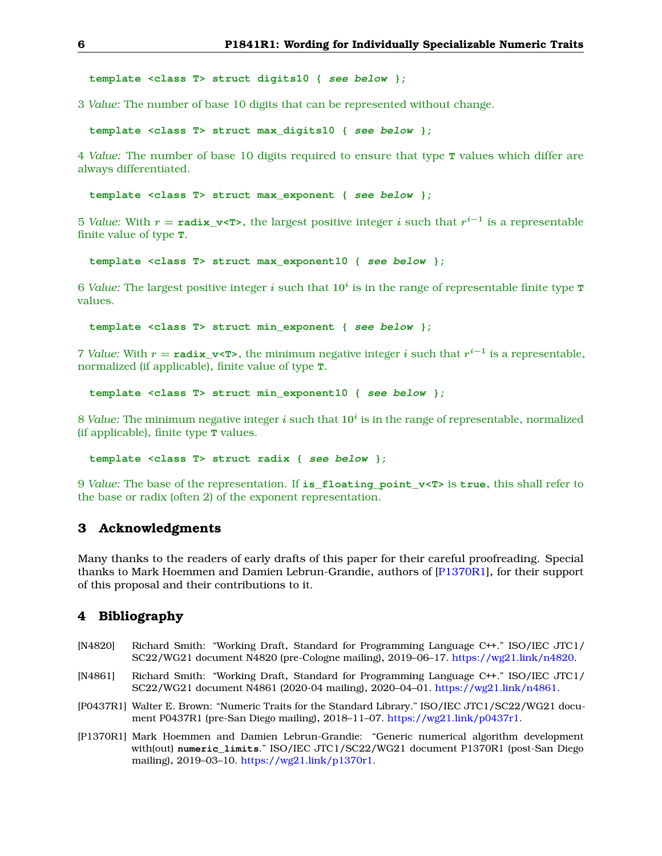<span id="page-5-5"></span>**template <class T> struct digits10 { see below };**

3 *Value:* The number of base 10 digits that can be represented without change.

**template <class T> struct max\_digits10 { see below };**

4 *Value:* The number of base 10 digits required to ensure that type **T** values which differ are always differentiated.

**template <class T> struct max\_exponent { see below };**

5 *Value:* With  $r = \texttt{radix_v}< T>}$ , the largest positive integer  $i$  such that  $r^{i-1}$  is a representable finite value of type **T**.

**template <class T> struct max\_exponent10 { see below };**

 $6$  *Value:* The largest positive integer  $i$  such that  $10^i$  is in the range of representable finite type  $\texttt{t}$ values.

**template <class T> struct min\_exponent { see below };**

7 *Value:* With  $r = \text{radix_v}$   $\text{×T>}$ , the minimum negative integer *i* such that  $r^{i-1}$  is a representable, normalized (if applicable), finite value of type **T**.

**template <class T> struct min\_exponent10 { see below };**

 $8$  *Value:* The minimum negative integer  $i$  such that  $10^i$  is in the range of representable, normalized (if applicable), finite type **T** values.

**template <class T> struct radix { see below };**

9 *Value:* The base of the representation. If **is\_floating\_point\_v<T>** is **true**, this shall refer to the base or radix (often 2) of the exponent representation.

# <span id="page-5-0"></span>**3 Acknowledgments**

Many thanks to the readers of early drafts of this paper for their careful proofreading. Special thanks to Mark Hoemmen and Damien Lebrun-Grandie, authors of [\[P1370R1\]](#page-5-3), for their support of this proposal and their contributions to it.

## <span id="page-5-1"></span>**4 Bibliography**

- [N4820] Richard Smith: "Working Draft, Standard for Programming Language C++." ISO/IEC JTC1/ SC22/WG21 document N4820 (pre-Cologne mailing), 2019–06–17. [https://wg21.link/n4820.](https://wg21.link/n4820)
- <span id="page-5-4"></span>[N4861] Richard Smith: "Working Draft, Standard for Programming Language C++." ISO/IEC JTC1/ SC22/WG21 document N4861 (2020-04 mailing), 2020–04–01. [https://wg21.link/n4861.](https://wg21.link/n4861)
- <span id="page-5-2"></span>[P0437R1] Walter E. Brown: "Numeric Traits for the Standard Library." ISO/IEC JTC1/SC22/WG21 document P0437R1 (pre-San Diego mailing), 2018–11–07. [https://wg21.link/p0437r1.](https://wg21.link/p0437r1)
- <span id="page-5-3"></span>[P1370R1] Mark Hoemmen and Damien Lebrun-Grandie: "Generic numerical algorithm development with(out) **numeric\_limits**." ISO/IEC JTC1/SC22/WG21 document P1370R1 (post-San Diego mailing), 2019–03–10. [https://wg21.link/p1370r1.](https://wg21.link/p1370r1)